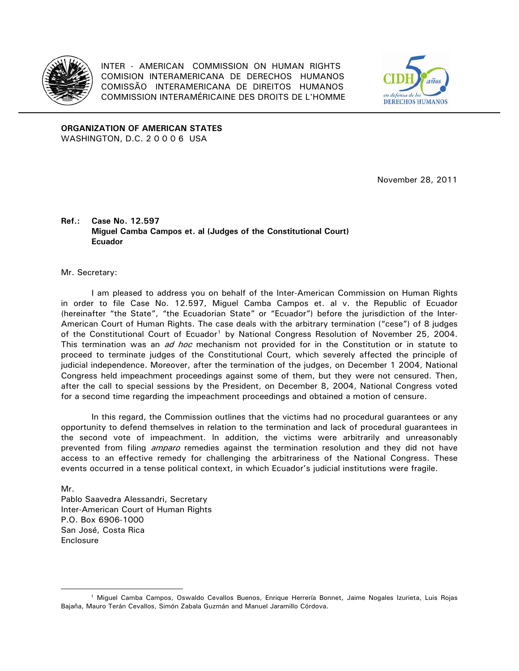

INTER - AMERICAN COMMISSION ON HUMAN RIGHTS COMISION INTERAMERICANA DE DERECHOS HUMANOS COMISSÃO INTERAMERICANA DE DIREITOS HUMANOS COMMISSION INTERAMÉRICAINE DES DROITS DE L'HOMME



**ORGANIZATION OF AMERICAN STATES**  WASHINGTON, D.C. 2 0 0 0 6 USA

November 28, 2011

## **Ref.: Case No. 12.597 Miguel Camba Campos et. al (Judges of the Constitutional Court) Ecuador**

Mr. Secretary:

I am pleased to address you on behalf of the Inter-American Commission on Human Rights in order to file Case No. 12.597, Miguel Camba Campos et. al v. the Republic of Ecuador (hereinafter "the State", "the Ecuadorian State" or "Ecuador") before the jurisdiction of the Inter-American Court of Human Rights. The case deals with the arbitrary termination ("cese") of 8 judges of the Constitutional Court of Ecuador<sup>[1](#page-0-0)</sup> by National Congress Resolution of November 25, 2004. This termination was an *ad hoc* mechanism not provided for in the Constitution or in statute to proceed to terminate judges of the Constitutional Court, which severely affected the principle of judicial independence. Moreover, after the termination of the judges, on December 1 2004, National Congress held impeachment proceedings against some of them, but they were not censured. Then, after the call to special sessions by the President, on December 8, 2004, National Congress voted for a second time regarding the impeachment proceedings and obtained a motion of censure.

In this regard, the Commission outlines that the victims had no procedural guarantees or any opportunity to defend themselves in relation to the termination and lack of procedural guarantees in the second vote of impeachment. In addition, the victims were arbitrarily and unreasonably prevented from filing *amparo* remedies against the termination resolution and they did not have access to an effective remedy for challenging the arbitrariness of the National Congress. These events occurred in a tense political context, in which Ecuador's judicial institutions were fragile.

Mr. Pablo Saavedra Alessandri, Secretary Inter-American Court of Human Rights P.O. Box 6906-1000 San José, Costa Rica Enclosure

 $\overline{a}$ 

<span id="page-0-0"></span><sup>1</sup> Miguel Camba Campos, Oswaldo Cevallos Buenos, Enrique Herrería Bonnet, Jaime Nogales Izurieta, Luis Rojas Bajaña, Mauro Terán Cevallos, Simón Zabala Guzmán and Manuel Jaramillo Córdova.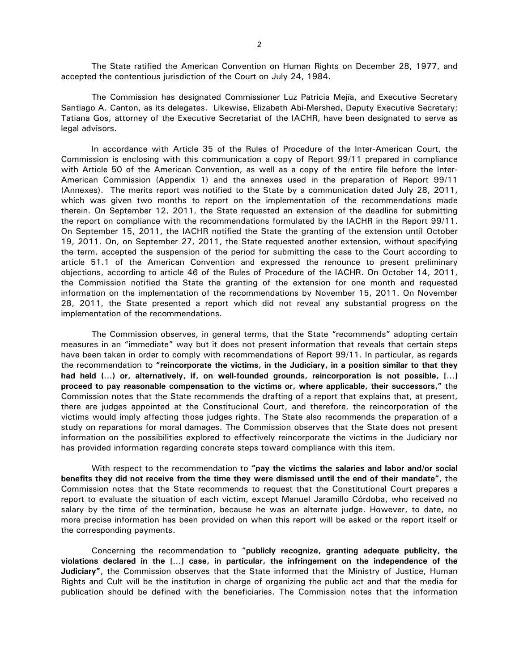The State ratified the American Convention on Human Rights on December 28, 1977, and accepted the contentious jurisdiction of the Court on July 24, 1984.

The Commission has designated Commissioner Luz Patricia Mejía, and Executive Secretary Santiago A. Canton, as its delegates. Likewise, Elizabeth Abi-Mershed, Deputy Executive Secretary; Tatiana Gos, attorney of the Executive Secretariat of the IACHR, have been designated to serve as legal advisors.

In accordance with Article 35 of the Rules of Procedure of the Inter-American Court, the Commission is enclosing with this communication a copy of Report 99/11 prepared in compliance with Article 50 of the American Convention, as well as a copy of the entire file before the Inter-American Commission (Appendix 1) and the annexes used in the preparation of Report 99/11 (Annexes). The merits report was notified to the State by a communication dated July 28, 2011, which was given two months to report on the implementation of the recommendations made therein. On September 12, 2011, the State requested an extension of the deadline for submitting the report on compliance with the recommendations formulated by the IACHR in the Report 99/11. On September 15, 2011, the IACHR notified the State the granting of the extension until October 19, 2011. On, on September 27, 2011, the State requested another extension, without specifying the term, accepted the suspension of the period for submitting the case to the Court according to article 51.1 of the American Convention and expressed the renounce to present preliminary objections, according to article 46 of the Rules of Procedure of the IACHR. On October 14, 2011, the Commission notified the State the granting of the extension for one month and requested information on the implementation of the recommendations by November 15, 2011. On November 28, 2011, the State presented a report which did not reveal any substantial progress on the implementation of the recommendations.

The Commission observes, in general terms, that the State "recommends" adopting certain measures in an "immediate" way but it does not present information that reveals that certain steps have been taken in order to comply with recommendations of Report 99/11. In particular, as regards the recommendation to **"reincorporate the victims, in the Judiciary, in a position similar to that they had held (…) or, alternatively, if, on well-founded grounds, reincorporation is not possible, […] proceed to pay reasonable compensation to the victims or, where applicable, their successors,"** the Commission notes that the State recommends the drafting of a report that explains that, at present, there are judges appointed at the Constitucional Court, and therefore, the reincorporation of the victims would imply affecting those judges rights. The State also recommends the preparation of a study on reparations for moral damages. The Commission observes that the State does not present information on the possibilities explored to effectively reincorporate the victims in the Judiciary nor has provided information regarding concrete steps toward compliance with this item.

With respect to the recommendation to **"pay the victims the salaries and labor and/or social benefits they did not receive from the time they were dismissed until the end of their mandate"**, the Commission notes that the State recommends to request that the Constitutional Court prepares a report to evaluate the situation of each victim, except Manuel Jaramillo Córdoba, who received no salary by the time of the termination, because he was an alternate judge. However, to date, no more precise information has been provided on when this report will be asked or the report itself or the corresponding payments.

Concerning the recommendation to **"publicly recognize, granting adequate publicity, the violations declared in the […] case, in particular, the infringement on the independence of the Judiciary"**, the Commission observes that the State informed that the Ministry of Justice, Human Rights and Cult will be the institution in charge of organizing the public act and that the media for publication should be defined with the beneficiaries. The Commission notes that the information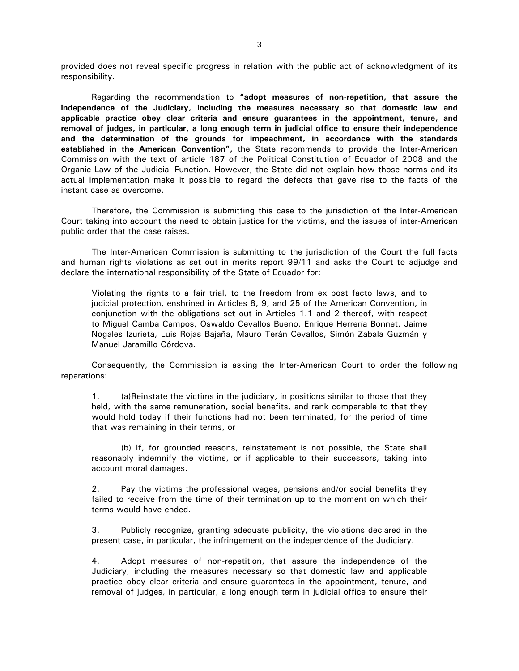provided does not reveal specific progress in relation with the public act of acknowledgment of its responsibility.

Regarding the recommendation to **"adopt measures of non-repetition, that assure the independence of the Judiciary, including the measures necessary so that domestic law and applicable practice obey clear criteria and ensure guarantees in the appointment, tenure, and removal of judges, in particular, a long enough term in judicial office to ensure their independence and the determination of the grounds for impeachment, in accordance with the standards established in the American Convention",** the State recommends to provide the Inter-American Commission with the text of article 187 of the Political Constitution of Ecuador of 2008 and the Organic Law of the Judicial Function. However, the State did not explain how those norms and its actual implementation make it possible to regard the defects that gave rise to the facts of the instant case as overcome.

Therefore, the Commission is submitting this case to the jurisdiction of the Inter-American Court taking into account the need to obtain justice for the victims, and the issues of inter-American public order that the case raises.

The Inter-American Commission is submitting to the jurisdiction of the Court the full facts and human rights violations as set out in merits report 99/11 and asks the Court to adjudge and declare the international responsibility of the State of Ecuador for:

Violating the rights to a fair trial, to the freedom from ex post facto laws, and to judicial protection, enshrined in Articles 8, 9, and 25 of the American Convention, in conjunction with the obligations set out in Articles 1.1 and 2 thereof, with respect to Miguel Camba Campos, Oswaldo Cevallos Bueno, Enrique Herrería Bonnet, Jaime Nogales Izurieta, Luis Rojas Bajaña, Mauro Terán Cevallos, Simón Zabala Guzmán y Manuel Jaramillo Córdova.

Consequently, the Commission is asking the Inter-American Court to order the following reparations:

1. (a)Reinstate the victims in the judiciary, in positions similar to those that they held, with the same remuneration, social benefits, and rank comparable to that they would hold today if their functions had not been terminated, for the period of time that was remaining in their terms, or

 (b) If, for grounded reasons, reinstatement is not possible, the State shall reasonably indemnify the victims, or if applicable to their successors, taking into account moral damages.

2. Pay the victims the professional wages, pensions and/or social benefits they failed to receive from the time of their termination up to the moment on which their terms would have ended.

3. Publicly recognize, granting adequate publicity, the violations declared in the present case, in particular, the infringement on the independence of the Judiciary.

4. Adopt measures of non-repetition, that assure the independence of the Judiciary, including the measures necessary so that domestic law and applicable practice obey clear criteria and ensure guarantees in the appointment, tenure, and removal of judges, in particular, a long enough term in judicial office to ensure their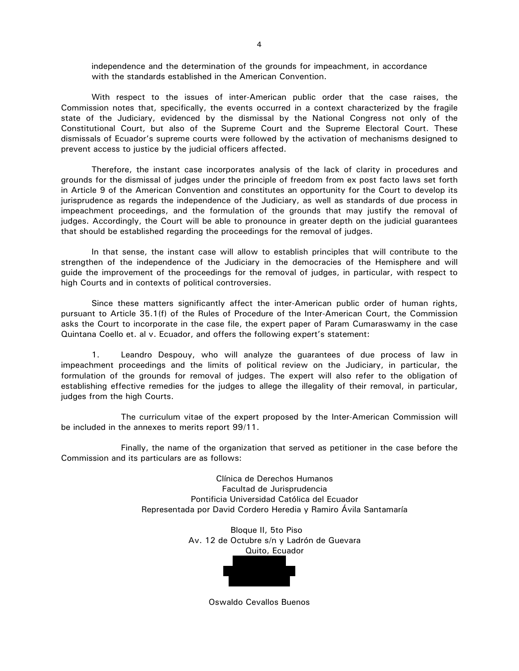independence and the determination of the grounds for impeachment, in accordance with the standards established in the American Convention.

With respect to the issues of inter-American public order that the case raises, the Commission notes that, specifically, the events occurred in a context characterized by the fragile state of the Judiciary, evidenced by the dismissal by the National Congress not only of the Constitutional Court, but also of the Supreme Court and the Supreme Electoral Court. These dismissals of Ecuador's supreme courts were followed by the activation of mechanisms designed to prevent access to justice by the judicial officers affected.

Therefore, the instant case incorporates analysis of the lack of clarity in procedures and grounds for the dismissal of judges under the principle of freedom from ex post facto laws set forth in Article 9 of the American Convention and constitutes an opportunity for the Court to develop its jurisprudence as regards the independence of the Judiciary, as well as standards of due process in impeachment proceedings, and the formulation of the grounds that may justify the removal of judges. Accordingly, the Court will be able to pronounce in greater depth on the judicial guarantees that should be established regarding the proceedings for the removal of judges.

In that sense, the instant case will allow to establish principles that will contribute to the strengthen of the independence of the Judiciary in the democracies of the Hemisphere and will guide the improvement of the proceedings for the removal of judges, in particular, with respect to high Courts and in contexts of political controversies.

Since these matters significantly affect the inter-American public order of human rights, pursuant to Article 35.1(f) of the Rules of Procedure of the Inter-American Court, the Commission asks the Court to incorporate in the case file, the expert paper of Param Cumaraswamy in the case Quintana Coello et. al v. Ecuador, and offers the following expert's statement:

1. Leandro Despouy, who will analyze the guarantees of due process of law in impeachment proceedings and the limits of political review on the Judiciary, in particular, the formulation of the grounds for removal of judges. The expert will also refer to the obligation of establishing effective remedies for the judges to allege the illegality of their removal, in particular, judges from the high Courts.

 The curriculum vitae of the expert proposed by the Inter-American Commission will be included in the annexes to merits report 99/11.

 Finally, the name of the organization that served as petitioner in the case before the Commission and its particulars are as follows:

> Clínica de Derechos Humanos Facultad de Jurisprudencia Pontificia Universidad Católica del Ecuador Representada por David Cordero Heredia y Ramiro Ávila Santamaría

> > Bloque II, 5to Piso Av. 12 de Octubre s/n y Ladrón de Guevara Quito, Ecuador



Oswaldo Cevallos Buenos